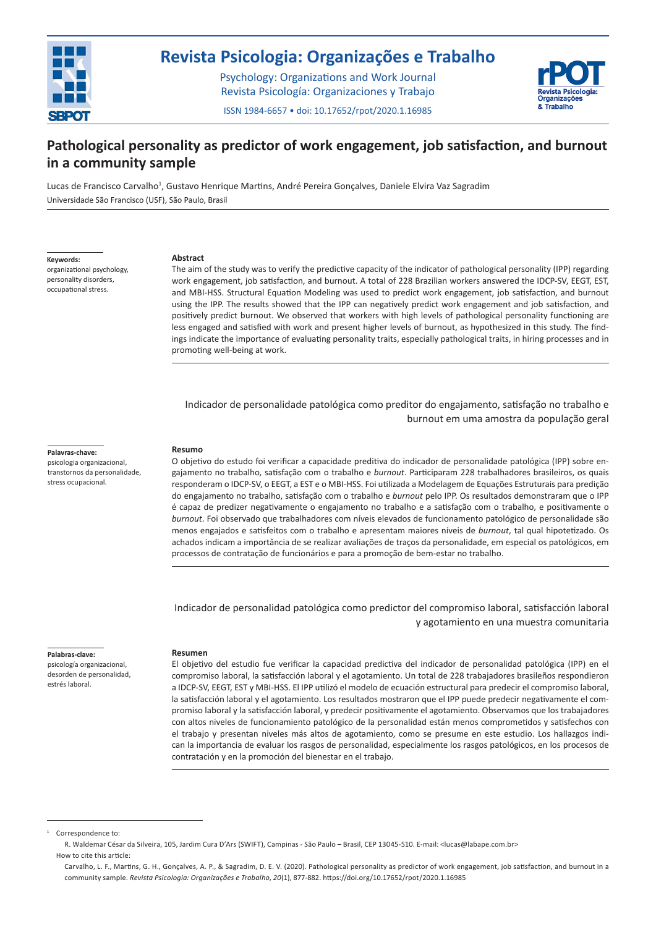

# **Revista Psicologia: Organizações e Trabalho**

Psychology: Organizations and Work Journal Revista Psicología: Organizaciones y Trabajo



**877**

ISSN 1984-6657 • doi: 10.17652/rpot/2020.1.16985

# **Pathological personality as predictor of work engagement, job satisfaction, and burnout in a community sample**

Lucas de Francisco Carvalho<sup>1</sup>, Gustavo Henrique Martins, André Pereira Gonçalves, Daniele Elvira Vaz Sagradim Universidade São Francisco (USF), São Paulo, Brasil

**Keywords:**

organizational psychology, personality disorders, occupational stress.

#### **Abstract**

The aim of the study was to verify the predictive capacity of the indicator of pathological personality (IPP) regarding work engagement, job satisfaction, and burnout. A total of 228 Brazilian workers answered the IDCP-SV, EEGT, EST, and MBI-HSS. Structural Equation Modeling was used to predict work engagement, job satisfaction, and burnout using the IPP. The results showed that the IPP can negatively predict work engagement and job satisfaction, and positively predict burnout. We observed that workers with high levels of pathological personality functioning are less engaged and satisfied with work and present higher levels of burnout, as hypothesized in this study. The findings indicate the importance of evaluating personality traits, especially pathological traits, in hiring processes and in promoting well-being at work.

Indicador de personalidade patológica como preditor do engajamento, satisfação no trabalho e burnout em uma amostra da população geral

#### **Palavras-chave:**

psicologia organizacional, transtornos da personalidade, stress ocupacional.

#### **Resumo**

O objetivo do estudo foi verificar a capacidade preditiva do indicador de personalidade patológica (IPP) sobre engajamento no trabalho, satisfação com o trabalho e *burnout*. Participaram 228 trabalhadores brasileiros, os quais responderam o IDCP-SV, o EEGT, a EST e o MBI-HSS. Foi utilizada a Modelagem de Equações Estruturais para predição do engajamento no trabalho, satisfação com o trabalho e *burnout* pelo IPP. Os resultados demonstraram que o IPP é capaz de predizer negativamente o engajamento no trabalho e a satisfação com o trabalho, e positivamente o *burnout*. Foi observado que trabalhadores com níveis elevados de funcionamento patológico de personalidade são menos engajados e satisfeitos com o trabalho e apresentam maiores níveis de *burnout*, tal qual hipotetizado. Os achados indicam a importância de se realizar avaliações de traços da personalidade, em especial os patológicos, em processos de contratação de funcionários e para a promoção de bem-estar no trabalho.

Indicador de personalidad patológica como predictor del compromiso laboral, satisfacción laboral y agotamiento en una muestra comunitaria

#### **Palabras-clave:**

psicología organizacional, desorden de personalidad, estrés laboral.

## **Resumen**

El objetivo del estudio fue verificar la capacidad predictiva del indicador de personalidad patológica (IPP) en el compromiso laboral, la satisfacción laboral y el agotamiento. Un total de 228 trabajadores brasileños respondieron a IDCP-SV, EEGT, EST y MBI-HSS. El IPP utilizó el modelo de ecuación estructural para predecir el compromiso laboral, la satisfacción laboral y el agotamiento. Los resultados mostraron que el IPP puede predecir negativamente el compromiso laboral y la satisfacción laboral, y predecir positivamente el agotamiento. Observamos que los trabajadores con altos niveles de funcionamiento patológico de la personalidad están menos comprometidos y satisfechos con el trabajo y presentan niveles más altos de agotamiento, como se presume en este estudio. Los hallazgos indican la importancia de evaluar los rasgos de personalidad, especialmente los rasgos patológicos, en los procesos de contratación y en la promoción del bienestar en el trabajo.

Correspondence to

R. Waldemar César da Silveira, 105, Jardim Cura D'Ars (SWIFT), Campinas - São Paulo – Brasil, CEP 13045-510. E-mail: <lucas@labape.com.br> How to cite this article:

Carvalho, L. F., Martins, G. H., Gonçalves, A. P., & Sagradim, D. E. V. (2020). Pathological personality as predictor of work engagement, job satisfaction, and burnout in a community sample. *Revista Psicologia: Organizações e Trabalho*, *20*(1), 877-882. https://doi.org/10.17652/rpot/2020.1.16985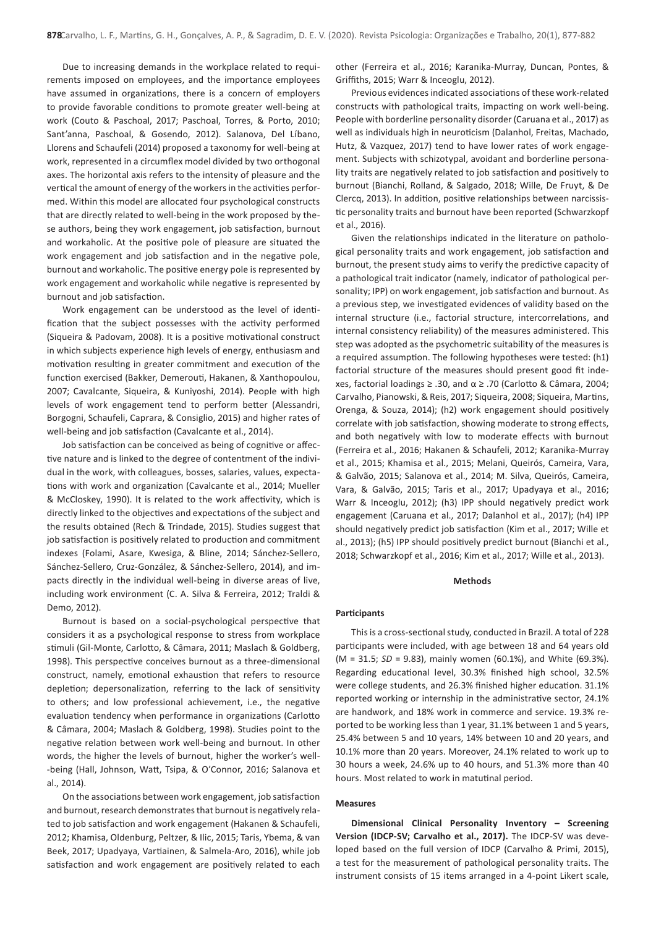Due to increasing demands in the workplace related to requirements imposed on employees, and the importance employees have assumed in organizations, there is a concern of employers to provide favorable conditions to promote greater well-being at work (Couto & Paschoal, 2017; Paschoal, Torres, & Porto, 2010; Sant'anna, Paschoal, & Gosendo, 2012). Salanova, Del Líbano, Llorens and Schaufeli (2014) proposed a taxonomy for well-being at work, represented in a circumflex model divided by two orthogonal axes. The horizontal axis refers to the intensity of pleasure and the vertical the amount of energy of the workers in the activities performed. Within this model are allocated four psychological constructs that are directly related to well-being in the work proposed by these authors, being they work engagement, job satisfaction, burnout and workaholic. At the positive pole of pleasure are situated the work engagement and job satisfaction and in the negative pole, burnout and workaholic. The positive energy pole is represented by work engagement and workaholic while negative is represented by burnout and job satisfaction.

Work engagement can be understood as the level of identification that the subject possesses with the activity performed (Siqueira & Padovam, 2008). It is a positive motivational construct in which subjects experience high levels of energy, enthusiasm and motivation resulting in greater commitment and execution of the function exercised (Bakker, Demerouti, Hakanen, & Xanthopoulou, 2007; Cavalcante, Siqueira, & Kuniyoshi, 2014). People with high levels of work engagement tend to perform better (Alessandri, Borgogni, Schaufeli, Caprara, & Consiglio, 2015) and higher rates of well-being and job satisfaction (Cavalcante et al., 2014).

Job satisfaction can be conceived as being of cognitive or affective nature and is linked to the degree of contentment of the individual in the work, with colleagues, bosses, salaries, values, expectations with work and organization (Cavalcante et al., 2014; Mueller & McCloskey, 1990). It is related to the work affectivity, which is directly linked to the objectives and expectations of the subject and the results obtained (Rech & Trindade, 2015). Studies suggest that job satisfaction is positively related to production and commitment indexes (Folami, Asare, Kwesiga, & Bline, 2014; Sánchez-Sellero, Sánchez-Sellero, Cruz-González, & Sánchez-Sellero, 2014), and impacts directly in the individual well-being in diverse areas of live, including work environment (C. A. Silva & Ferreira, 2012; Traldi & Demo, 2012).

Burnout is based on a social-psychological perspective that considers it as a psychological response to stress from workplace stimuli (Gil-Monte, Carlotto, & Câmara, 2011; Maslach & Goldberg, 1998). This perspective conceives burnout as a three-dimensional construct, namely, emotional exhaustion that refers to resource depletion; depersonalization, referring to the lack of sensitivity to others; and low professional achievement, i.e., the negative evaluation tendency when performance in organizations (Carlotto & Câmara, 2004; Maslach & Goldberg, 1998). Studies point to the negative relation between work well-being and burnout. In other words, the higher the levels of burnout, higher the worker's well- -being (Hall, Johnson, Watt, Tsipa, & O'Connor, 2016; Salanova et al., 2014).

On the associations between work engagement, job satisfaction and burnout, research demonstrates that burnout is negatively related to job satisfaction and work engagement (Hakanen & Schaufeli, 2012; Khamisa, Oldenburg, Peltzer, & Ilic, 2015; Taris, Ybema, & van Beek, 2017; Upadyaya, Vartiainen, & Salmela-Aro, 2016), while job satisfaction and work engagement are positively related to each

other (Ferreira et al., 2016; Karanika-Murray, Duncan, Pontes, & Griffiths, 2015; Warr & Inceoglu, 2012).

Previous evidences indicated associations of these work-related constructs with pathological traits, impacting on work well-being. People with borderline personality disorder (Caruana et al., 2017) as well as individuals high in neuroticism (Dalanhol, Freitas, Machado, Hutz, & Vazquez, 2017) tend to have lower rates of work engagement. Subjects with schizotypal, avoidant and borderline personality traits are negatively related to job satisfaction and positively to burnout (Bianchi, Rolland, & Salgado, 2018; Wille, De Fruyt, & De Clercq, 2013). In addition, positive relationships between narcissistic personality traits and burnout have been reported (Schwarzkopf et al., 2016).

Given the relationships indicated in the literature on pathological personality traits and work engagement, job satisfaction and burnout, the present study aims to verify the predictive capacity of a pathological trait indicator (namely, indicator of pathological personality; IPP) on work engagement, job satisfaction and burnout. As a previous step, we investigated evidences of validity based on the internal structure (i.e., factorial structure, intercorrelations, and internal consistency reliability) of the measures administered. This step was adopted as the psychometric suitability of the measures is a required assumption. The following hypotheses were tested: (h1) factorial structure of the measures should present good fit indexes, factorial loadings ≥ .30, and α ≥ .70 (Carlotto & Câmara, 2004; Carvalho, Pianowski, & Reis, 2017; Siqueira, 2008; Siqueira, Martins, Orenga, & Souza, 2014); (h2) work engagement should positively correlate with job satisfaction, showing moderate to strong effects, and both negatively with low to moderate effects with burnout (Ferreira et al., 2016; Hakanen & Schaufeli, 2012; Karanika-Murray et al., 2015; Khamisa et al., 2015; Melani, Queirós, Cameira, Vara, & Galvão, 2015; Salanova et al., 2014; M. Silva, Queirós, Cameira, Vara, & Galvão, 2015; Taris et al., 2017; Upadyaya et al., 2016; Warr & Inceoglu, 2012); (h3) IPP should negatively predict work engagement (Caruana et al., 2017; Dalanhol et al., 2017); (h4) IPP should negatively predict job satisfaction (Kim et al., 2017; Wille et al., 2013); (h5) IPP should positively predict burnout (Bianchi et al., 2018; Schwarzkopf et al., 2016; Kim et al., 2017; Wille et al., 2013).

# **Methods**

#### **Participants**

This is a cross-sectional study, conducted in Brazil. A total of 228 participants were included, with age between 18 and 64 years old (M = 31.5; *SD* = 9.83), mainly women (60.1%), and White (69.3%). Regarding educational level, 30.3% finished high school, 32.5% were college students, and 26.3% finished higher education. 31.1% reported working or internship in the administrative sector, 24.1% are handwork, and 18% work in commerce and service. 19.3% reported to be working less than 1 year, 31.1% between 1 and 5 years, 25.4% between 5 and 10 years, 14% between 10 and 20 years, and 10.1% more than 20 years. Moreover, 24.1% related to work up to 30 hours a week, 24.6% up to 40 hours, and 51.3% more than 40 hours. Most related to work in matutinal period.

## **Measures**

**Dimensional Clinical Personality Inventory – Screening Version (IDCP-SV; Carvalho et al., 2017).** The IDCP-SV was developed based on the full version of IDCP (Carvalho & Primi, 2015), a test for the measurement of pathological personality traits. The instrument consists of 15 items arranged in a 4-point Likert scale,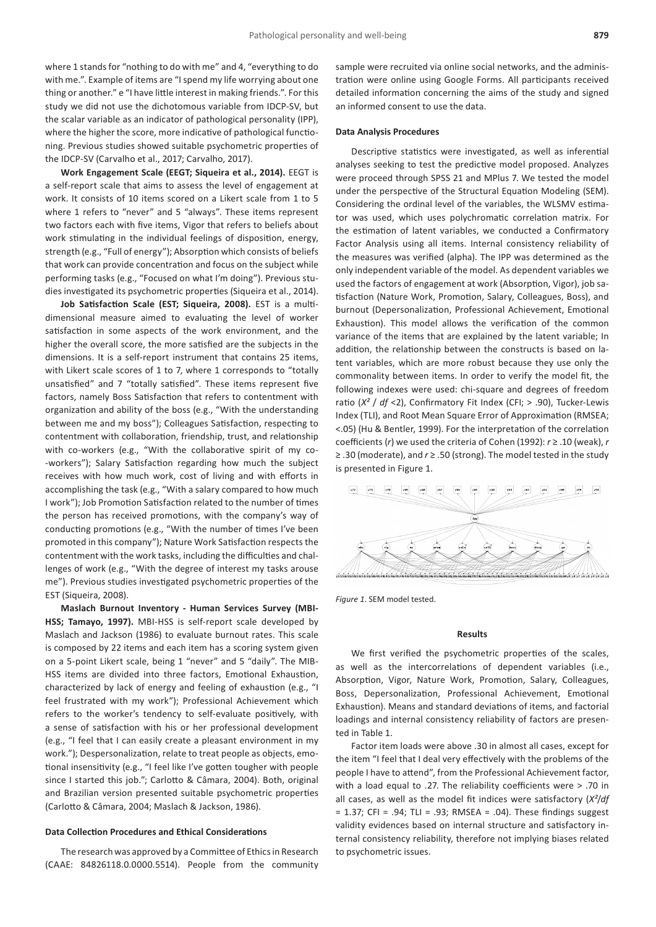where 1 stands for "nothing to do with me" and 4, "everything to do with me.". Example of items are "I spend my life worrying about one thing or another." e "I have little interest in making friends.". For this study we did not use the dichotomous variable from IDCP-SV, but the scalar variable as an indicator of pathological personality (IPP), where the higher the score, more indicative of pathological functioning. Previous studies showed suitable psychometric properties of the IDCP-SV (Carvalho et al., 2017; Carvalho, 2017).

**Work Engagement Scale (EEGT; Siqueira et al., 2014).** EEGT is a self-report scale that aims to assess the level of engagement at work. It consists of 10 items scored on a Likert scale from 1 to 5 where 1 refers to "never" and 5 "always". These items represent two factors each with five items, Vigor that refers to beliefs about work stimulating in the individual feelings of disposition, energy, strength (e.g., "Full of energy"); Absorption which consists of beliefs that work can provide concentration and focus on the subject while performing tasks (e.g., "Focused on what I'm doing"). Previous studies investigated its psychometric properties (Siqueira et al., 2014).

**Job Satisfaction Scale (EST; Siqueira, 2008).** EST is a multidimensional measure aimed to evaluating the level of worker satisfaction in some aspects of the work environment, and the higher the overall score, the more satisfied are the subjects in the dimensions. It is a self-report instrument that contains 25 items, with Likert scale scores of 1 to 7, where 1 corresponds to "totally unsatisfied" and 7 "totally satisfied". These items represent five factors, namely Boss Satisfaction that refers to contentment with organization and ability of the boss (e.g., "With the understanding between me and my boss"); Colleagues Satisfaction, respecting to contentment with collaboration, friendship, trust, and relationship with co-workers (e.g., "With the collaborative spirit of my co- -workers"); Salary Satisfaction regarding how much the subject receives with how much work, cost of living and with efforts in accomplishing the task (e.g., "With a salary compared to how much I work"); Job Promotion Satisfaction related to the number of times the person has received promotions, with the company's way of conducting promotions (e.g., "With the number of times I've been promoted in this company"); Nature Work Satisfaction respects the contentment with the work tasks, including the difficulties and challenges of work (e.g., "With the degree of interest my tasks arouse me"). Previous studies investigated psychometric properties of the EST (Siqueira, 2008).

**Maslach Burnout Inventory - Human Services Survey (MBI-HSS; Tamayo, 1997).** MBI-HSS is self-report scale developed by Maslach and Jackson (1986) to evaluate burnout rates. This scale is composed by 22 items and each item has a scoring system given on a 5-point Likert scale, being 1 "never" and 5 "daily". The MIB-HSS items are divided into three factors, Emotional Exhaustion, characterized by lack of energy and feeling of exhaustion (e.g., "I feel frustrated with my work"); Professional Achievement which refers to the worker's tendency to self-evaluate positively, with a sense of satisfaction with his or her professional development (e.g., "I feel that I can easily create a pleasant environment in my work."); Despersonalization, relate to treat people as objects, emotional insensitivity (e.g., "I feel like I've gotten tougher with people since I started this job."; Carlotto & Câmara, 2004). Both, original and Brazilian version presented suitable psychometric properties (Carlotto & Câmara, 2004; Maslach & Jackson, 1986).

## **Data Collection Procedures and Ethical Considerations**

The research was approved by a Committee of Ethics in Research (CAAE: 84826118.0.0000.5514). People from the community sample were recruited via online social networks, and the administration were online using Google Forms. All participants received detailed information concerning the aims of the study and signed an informed consent to use the data.

#### **Data Analysis Procedures**

Descriptive statistics were investigated, as well as inferential analyses seeking to test the predictive model proposed. Analyzes were proceed through SPSS 21 and MPlus 7. We tested the model under the perspective of the Structural Equation Modeling (SEM). Considering the ordinal level of the variables, the WLSMV estimator was used, which uses polychromatic correlation matrix. For the estimation of latent variables, we conducted a Confirmatory Factor Analysis using all items. Internal consistency reliability of the measures was verified (alpha). The IPP was determined as the only independent variable of the model. As dependent variables we used the factors of engagement at work (Absorption, Vigor), job satisfaction (Nature Work, Promotion, Salary, Colleagues, Boss), and burnout (Depersonalization, Professional Achievement, Emotional Exhaustion). This model allows the verification of the common variance of the items that are explained by the latent variable; In addition, the relationship between the constructs is based on latent variables, which are more robust because they use only the commonality between items. In order to verify the model fit, the following indexes were used: chi-square and degrees of freedom ratio (*X²* / *df* <2), Confirmatory Fit Index (CFI; > .90), Tucker-Lewis Index (TLI), and Root Mean Square Error of Approximation (RMSEA; <.05) (Hu & Bentler, 1999). For the interpretation of the correlation coefficients (*r*) we used the criteria of Cohen (1992): *r* ≥ .10 (weak), *r* ≥ .30 (moderate), and *r* ≥ .50 (strong). The model tested in the study is presented in Figure 1.



*Figure 1*. SEM model tested.

#### **Results**

We first verified the psychometric properties of the scales, as well as the intercorrelations of dependent variables (i.e., Absorption, Vigor, Nature Work, Promotion, Salary, Colleagues, Boss, Depersonalization, Professional Achievement, Emotional Exhaustion). Means and standard deviations of items, and factorial loadings and internal consistency reliability of factors are presented in Table 1.

Factor item loads were above .30 in almost all cases, except for the item "I feel that I deal very effectively with the problems of the people I have to attend", from the Professional Achievement factor, with a load equal to .27. The reliability coefficients were > .70 in all cases, as well as the model fit indices were satisfactory (*X²*/*df* = 1.37; CFI = .94; TLI = .93; RMSEA = .04). These findings suggest validity evidences based on internal structure and satisfactory internal consistency reliability, therefore not implying biases related to psychometric issues.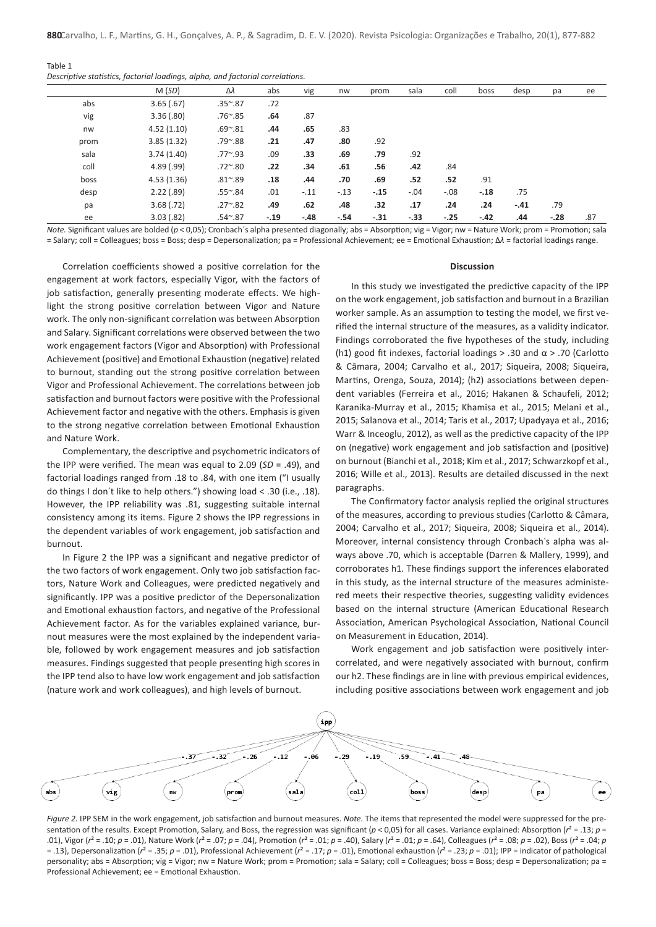| Table |  |  |
|-------|--|--|
|       |  |  |

*Descriptive statistics, factorial loadings, alpha, and factorial correlations.*

|      | M(SD)      | Δλ              | abs    | vig    | nw     | prom   | sala   | coll    | boss   | desp   | pa     | ee  |
|------|------------|-----------------|--------|--------|--------|--------|--------|---------|--------|--------|--------|-----|
| abs  | 3.65(.67)  | $.35^{\sim}.87$ | .72    |        |        |        |        |         |        |        |        |     |
| vig  | 3.36(.80)  | $.76^{\sim}.85$ | .64    | .87    |        |        |        |         |        |        |        |     |
| nw   | 4.52(1.10) | $.69^{\sim}.81$ | .44    | .65    | .83    |        |        |         |        |        |        |     |
| prom | 3.85(1.32) | $.79^{\sim}.88$ | .21    | .47    | .80    | .92    |        |         |        |        |        |     |
| sala | 3.74(1.40) | $.77^{\sim}.93$ | .09    | .33    | .69    | .79    | .92    |         |        |        |        |     |
| coll | 4.89(.99)  | $.72^{\sim}.80$ | .22    | .34    | .61    | .56    | .42    | .84     |        |        |        |     |
| boss | 4.53(1.36) | $.81^{\sim}.89$ | .18    | .44    | .70    | .69    | .52    | .52     | .91    |        |        |     |
| desp | 2.22(.89)  | $.55^{\sim}.84$ | .01    | $-.11$ | $-.13$ | $-.15$ | $-.04$ | $-0.08$ | $-.18$ | .75    |        |     |
| pa   | 3.68(.72)  | $.27^{\sim}.82$ | .49    | .62    | .48    | .32    | .17    | .24     | .24    | $-.41$ | .79    |     |
| ee   | 3.03(.82)  | $.54^{\sim}.87$ | $-.19$ | $-.48$ | $-.54$ | $-.31$ | $-.33$ | $-.25$  | $-.42$ | .44    | $-.28$ | .87 |

*Note.* Significant values are bolded ( $p < 0.05$ ); Cronbach´s alpha presented diagonally; abs = Absorption; vig = Vigor; nw = Nature Work; prom = Promotion; sala = Salary; coll = Colleagues; boss = Boss; desp = Depersonalization; pa = Professional Achievement; ee = Emotional Exhaustion; Δ*λ* = factorial loadings range.

Correlation coefficients showed a positive correlation for the engagement at work factors, especially Vigor, with the factors of job satisfaction, generally presenting moderate effects. We highlight the strong positive correlation between Vigor and Nature work. The only non-significant correlation was between Absorption and Salary. Significant correlations were observed between the two work engagement factors (Vigor and Absorption) with Professional Achievement (positive) and Emotional Exhaustion (negative) related to burnout, standing out the strong positive correlation between Vigor and Professional Achievement. The correlations between job satisfaction and burnout factors were positive with the Professional Achievement factor and negative with the others. Emphasis is given to the strong negative correlation between Emotional Exhaustion and Nature Work.

Complementary, the descriptive and psychometric indicators of the IPP were verified. The mean was equal to 2.09 (*SD* = .49), and factorial loadings ranged from .18 to .84, with one item ("I usually do things I don´t like to help others.") showing load < .30 (i.e., .18). However, the IPP reliability was .81, suggesting suitable internal consistency among its items. Figure 2 shows the IPP regressions in the dependent variables of work engagement, job satisfaction and burnout.

In Figure 2 the IPP was a significant and negative predictor of the two factors of work engagement. Only two job satisfaction factors, Nature Work and Colleagues, were predicted negatively and significantly. IPP was a positive predictor of the Depersonalization and Emotional exhaustion factors, and negative of the Professional Achievement factor. As for the variables explained variance, burnout measures were the most explained by the independent variable, followed by work engagement measures and job satisfaction measures. Findings suggested that people presenting high scores in the IPP tend also to have low work engagement and job satisfaction (nature work and work colleagues), and high levels of burnout.

#### **Discussion**

In this study we investigated the predictive capacity of the IPP on the work engagement, job satisfaction and burnout in a Brazilian worker sample. As an assumption to testing the model, we first verified the internal structure of the measures, as a validity indicator. Findings corroborated the five hypotheses of the study, including (h1) good fit indexes, factorial loadings > .30 and  $\alpha$  > .70 (Carlotto & Câmara, 2004; Carvalho et al., 2017; Siqueira, 2008; Siqueira, Martins, Orenga, Souza, 2014); (h2) associations between dependent variables (Ferreira et al., 2016; Hakanen & Schaufeli, 2012; Karanika-Murray et al., 2015; Khamisa et al., 2015; Melani et al., 2015; Salanova et al., 2014; Taris et al., 2017; Upadyaya et al., 2016; Warr & Inceoglu, 2012), as well as the predictive capacity of the IPP on (negative) work engagement and job satisfaction and (positive) on burnout (Bianchi et al., 2018; Kim et al., 2017; Schwarzkopf et al., 2016; Wille et al., 2013). Results are detailed discussed in the next paragraphs.

The Confirmatory factor analysis replied the original structures of the measures, according to previous studies (Carlotto & Câmara, 2004; Carvalho et al., 2017; Siqueira, 2008; Siqueira et al., 2014). Moreover, internal consistency through Cronbach´s alpha was always above .70, which is acceptable (Darren & Mallery, 1999), and corroborates h1. These findings support the inferences elaborated in this study, as the internal structure of the measures administered meets their respective theories, suggesting validity evidences based on the internal structure (American Educational Research Association, American Psychological Association, National Council on Measurement in Education, 2014).

Work engagement and job satisfaction were positively intercorrelated, and were negatively associated with burnout, confirm our h2. These findings are in line with previous empirical evidences, including positive associations between work engagement and job



*Figure 2.* IPP SEM in the work engagement, job satisfaction and burnout measures. *Note.* The items that represented the model were suppressed for the presentation of the results. Except Promotion, Salary, and Boss, the regression was significant ( $p$  < 0,05) for all cases. Variance explained: Absorption ( $r^2$  = .13;  $p$  = .01), Vigor ( $r^2 = .10$ ;  $p = .01$ ), Nature Work ( $r^2 = .07$ ;  $p = .04$ ), Promotion ( $r^2 = .01$ ;  $p = .40$ ), Salary ( $r^2 = .01$ ;  $p = .64$ ), Colleagues ( $r^2 = .08$ ;  $p = .02$ ), Boss ( $r^2 = .04$ ;  $p = .04$ ) = .13), Depersonalization ( $r^2$  = .35;  $p$  = .01), Professional Achievement ( $r^2$  = .17;  $p$  = .01), Emotional exhaustion ( $r^2$  = .23;  $p$  = .01); IPP = indicator of pathological personality; abs = Absorption; vig = Vigor; nw = Nature Work; prom = Promotion; sala = Salary; coll = Colleagues; boss = Boss; desp = Depersonalization; pa = Professional Achievement; ee = Emotional Exhaustion.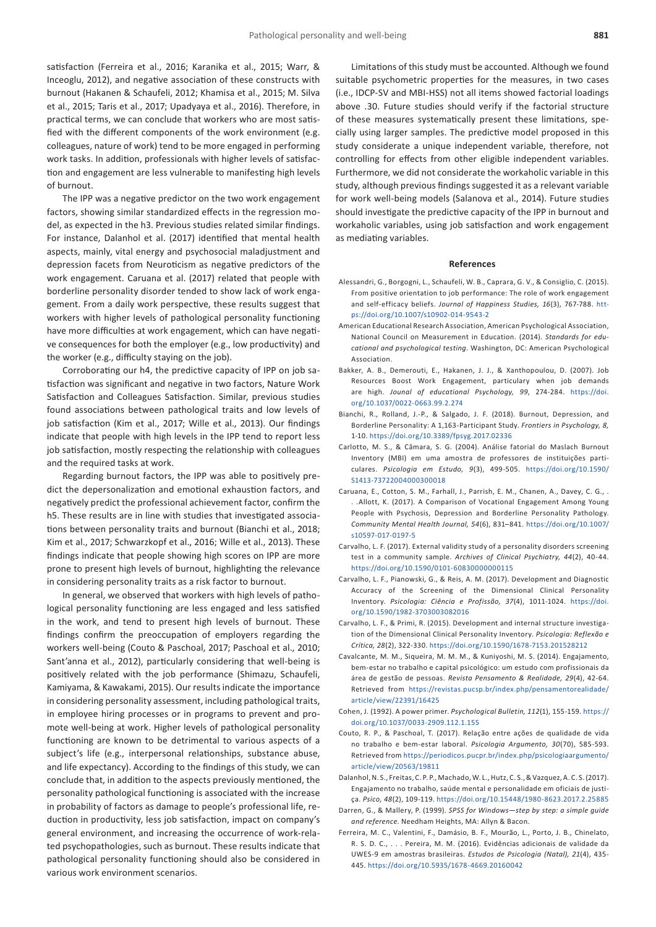satisfaction (Ferreira et al., 2016; Karanika et al., 2015; Warr, & Inceoglu, 2012), and negative association of these constructs with burnout (Hakanen & Schaufeli, 2012; Khamisa et al., 2015; M. Silva et al., 2015; Taris et al., 2017; Upadyaya et al., 2016). Therefore, in practical terms, we can conclude that workers who are most satisfied with the different components of the work environment (e.g. colleagues, nature of work) tend to be more engaged in performing work tasks. In addition, professionals with higher levels of satisfaction and engagement are less vulnerable to manifesting high levels of burnout.

The IPP was a negative predictor on the two work engagement factors, showing similar standardized effects in the regression model, as expected in the h3. Previous studies related similar findings. For instance, Dalanhol et al. (2017) identified that mental health aspects, mainly, vital energy and psychosocial maladjustment and depression facets from Neuroticism as negative predictors of the work engagement. Caruana et al. (2017) related that people with borderline personality disorder tended to show lack of work engagement. From a daily work perspective, these results suggest that workers with higher levels of pathological personality functioning have more difficulties at work engagement, which can have negative consequences for both the employer (e.g., low productivity) and the worker (e.g., difficulty staying on the job).

Corroborating our h4, the predictive capacity of IPP on job satisfaction was significant and negative in two factors, Nature Work Satisfaction and Colleagues Satisfaction. Similar, previous studies found associations between pathological traits and low levels of job satisfaction (Kim et al., 2017; Wille et al., 2013). Our findings indicate that people with high levels in the IPP tend to report less job satisfaction, mostly respecting the relationship with colleagues and the required tasks at work.

Regarding burnout factors, the IPP was able to positively predict the depersonalization and emotional exhaustion factors, and negatively predict the professional achievement factor, confirm the h5. These results are in line with studies that investigated associations between personality traits and burnout (Bianchi et al., 2018; Kim et al., 2017; Schwarzkopf et al., 2016; Wille et al., 2013). These findings indicate that people showing high scores on IPP are more prone to present high levels of burnout, highlighting the relevance in considering personality traits as a risk factor to burnout.

In general, we observed that workers with high levels of pathological personality functioning are less engaged and less satisfied in the work, and tend to present high levels of burnout. These findings confirm the preoccupation of employers regarding the workers well-being (Couto & Paschoal, 2017; Paschoal et al., 2010; Sant'anna et al., 2012), particularly considering that well-being is positively related with the job performance (Shimazu, Schaufeli, Kamiyama, & Kawakami, 2015). Our results indicate the importance in considering personality assessment, including pathological traits, in employee hiring processes or in programs to prevent and promote well-being at work. Higher levels of pathological personality functioning are known to be detrimental to various aspects of a subject's life (e.g., interpersonal relationships, substance abuse, and life expectancy). According to the findings of this study, we can conclude that, in addition to the aspects previously mentioned, the personality pathological functioning is associated with the increase in probability of factors as damage to people's professional life, reduction in productivity, less job satisfaction, impact on company's general environment, and increasing the occurrence of work-related psychopathologies, such as burnout. These results indicate that pathological personality functioning should also be considered in various work environment scenarios.

Limitations of this study must be accounted. Although we found suitable psychometric properties for the measures, in two cases (i.e., IDCP-SV and MBI-HSS) not all items showed factorial loadings above .30. Future studies should verify if the factorial structure of these measures systematically present these limitations, specially using larger samples. The predictive model proposed in this study considerate a unique independent variable, therefore, not controlling for effects from other eligible independent variables. Furthermore, we did not considerate the workaholic variable in this study, although previous findings suggested it as a relevant variable for work well-being models (Salanova et al., 2014). Future studies should investigate the predictive capacity of the IPP in burnout and workaholic variables, using job satisfaction and work engagement as mediating variables.

#### **References**

- Alessandri, G., Borgogni, L., Schaufeli, W. B., Caprara, G. V., & Consiglio, C. (2015). From positive orientation to job performance: The role of work engagement and self-efficacy beliefs. *Journal of Happiness Studies, 16*(3), 767-788. [htt](https://doi.org/10.1007/s10902-014-9543-2)[ps://doi.org/10.1007/s10902-014-9543-2](https://doi.org/10.1007/s10902-014-9543-2)
- American Educational Research Association, American Psychological Association, National Council on Measurement in Education. (2014). *Standards for educational and psychological testing*. Washington, DC: American Psychological Association.
- Bakker, A. B., Demerouti, E., Hakanen, J. J., & Xanthopoulou, D. (2007). Job Resources Boost Work Engagement, particulary when job demands are high. *Jounal of educational Psychology, 99*, 274-284. [https://doi.](https://doi.org/10.1037/0022-0663.99.2.274) [org/10.1037/0022-0663.99.2.274](https://doi.org/10.1037/0022-0663.99.2.274)
- Bianchi, R., Rolland, J.-P., & Salgado, J. F. (2018). Burnout, Depression, and Borderline Personality: A 1,163-Participant Study. *Frontiers in Psychology, 8,* 1-10. <https://doi.org/10.3389/fpsyg.2017.02336>
- Carlotto, M. S., & Câmara, S. G. (2004). Análise fatorial do Maslach Burnout Inventory (MBI) em uma amostra de professores de instituições particulares. *Psicologia em Estudo, 9*(3), 499-505. [https://doi.org/10.1590/](https://doi.org/10.1590/S1413-73722004000300018) [S1413-73722004000300018](https://doi.org/10.1590/S1413-73722004000300018)
- Caruana, E., Cotton, S. M., Farhall, J., Parrish, E. M., Chanen, A., Davey, C. G., . . .Allott, K. (2017). A Comparison of Vocational Engagement Among Young People with Psychosis, Depression and Borderline Personality Pathology. *Community Mental Health Journal, 54*(6), 831–841. [https://doi.org/10.1007/](https://doi.org/10.1007/s10597-017-0197-5) [s10597-017-0197-5](https://doi.org/10.1007/s10597-017-0197-5)
- Carvalho, L. F. (2017). External validity study of a personality disorders screening test in a community sample. *Archives of Clinical Psychiatry, 44*(2), 40-44. <https://doi.org/10.1590/0101-60830000000115>
- Carvalho, L. F., Pianowski, G., & Reis, A. M. (2017). Development and Diagnostic Accuracy of the Screening of the Dimensional Clinical Personality Inventory. *Psicologia: Ciência e Profissão, 37*(4), 1011-1024. [https://doi.](https://doi.org/10.1590/1982-3703003082016) [org/10.1590/1982-3703003082016](https://doi.org/10.1590/1982-3703003082016)
- Carvalho, L. F., & Primi, R. (2015). Development and internal structure investigation of the Dimensional Clinical Personality Inventory. *Psicologia: Reflexão e Crítica, 28*(2), 322-330. <https://doi.org/10.1590/1678-7153.201528212>
- Cavalcante, M. M., Siqueira, M. M. M., & Kuniyoshi, M. S. (2014). Engajamento, bem-estar no trabalho e capital psicológico: um estudo com profissionais da área de gestão de pessoas. *Revista Pensamento & Realidade, 29*(4), 42-64. Retrieved from [https://revistas.pucsp.br/index.php/pensamentorealidade/](https://revistas.pucsp.br/index.php/pensamentorealidade/article/view/22391/16425) [article/view/22391/16425](https://revistas.pucsp.br/index.php/pensamentorealidade/article/view/22391/16425)
- Cohen, J. (1992). A power primer. *Psychological Bulletin, 112*(1), 155-159. [https://](https://doi.org/10.1037/0033-2909.112.1.155) [doi.org/10.1037/0033-2909.112.1.155](https://doi.org/10.1037/0033-2909.112.1.155)
- Couto, R. P., & Paschoal, T. (2017). Relação entre ações de qualidade de vida no trabalho e bem-estar laboral. *Psicologia Argumento, 30*(70), 585-593. Retrieved from [https://periodicos.pucpr.br/index.php/psicologiaargumento/](https://periodicos.pucpr.br/index.php/psicologiaargumento/article/view/20563/19811) [article/view/20563/19811](https://periodicos.pucpr.br/index.php/psicologiaargumento/article/view/20563/19811)
- Dalanhol, N. S., Freitas, C. P. P., Machado, W. L., Hutz, C. S., & Vazquez, A. C. S. (2017). Engajamento no trabalho, saúde mental e personalidade em oficiais de justiça. *Psico, 48*(2), 109-119.<https://doi.org/10.15448/1980-8623.2017.2.25885>
- Darren, G., & Mallery, P. (1999). *SPSS for Windows—step by step: a simple guide and reference*. Needham Heights, MA: Allyn & Bacon.
- Ferreira, M. C., Valentini, F., Damásio, B. F., Mourão, L., Porto, J. B., Chinelato, R. S. D. C., . . . Pereira, M. M. (2016). Evidências adicionais de validade da UWES-9 em amostras brasileiras. *Estudos de Psicologia (Natal), 21*(4), 435- 445. <https://doi.org/10.5935/1678-4669.20160042>